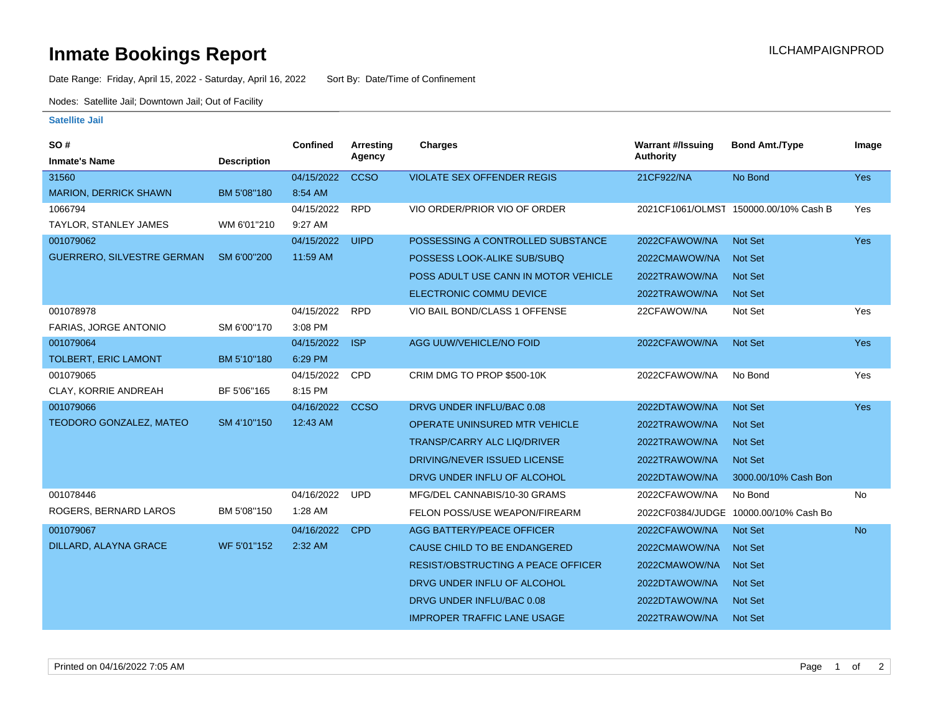## **Inmate Bookings Report International Contract Contract Contract Contract Contract Contract Contract Contract Contract Contract Contract Contract Contract Contract Contract Contract Contract Contract Contract Contract Co**

Date Range: Friday, April 15, 2022 - Saturday, April 16, 2022 Sort By: Date/Time of Confinement

Nodes: Satellite Jail; Downtown Jail; Out of Facility

## **Satellite Jail**

| SO#                               |                    | <b>Confined</b> | <b>Arresting</b><br>Agency | Charges                                   | <b>Warrant #/Issuing</b><br><b>Authority</b> | <b>Bond Amt./Type</b>                 | Image      |
|-----------------------------------|--------------------|-----------------|----------------------------|-------------------------------------------|----------------------------------------------|---------------------------------------|------------|
| <b>Inmate's Name</b>              | <b>Description</b> |                 |                            |                                           |                                              |                                       |            |
| 31560                             |                    | 04/15/2022      | <b>CCSO</b>                | <b>VIOLATE SEX OFFENDER REGIS</b>         | 21CF922/NA                                   | No Bond                               | <b>Yes</b> |
| <b>MARION, DERRICK SHAWN</b>      | BM 5'08"180        | 8:54 AM         |                            |                                           |                                              |                                       |            |
| 1066794                           |                    | 04/15/2022      | <b>RPD</b>                 | VIO ORDER/PRIOR VIO OF ORDER              |                                              | 2021CF1061/OLMST 150000.00/10% Cash B | Yes        |
| TAYLOR, STANLEY JAMES             | WM 6'01"210        | 9:27 AM         |                            |                                           |                                              |                                       |            |
| 001079062                         |                    | 04/15/2022      | <b>UIPD</b>                | POSSESSING A CONTROLLED SUBSTANCE         | 2022CFAWOW/NA                                | <b>Not Set</b>                        | Yes        |
| <b>GUERRERO, SILVESTRE GERMAN</b> | SM 6'00"200        | 11:59 AM        |                            | POSSESS LOOK-ALIKE SUB/SUBQ               | 2022CMAWOW/NA                                | <b>Not Set</b>                        |            |
|                                   |                    |                 |                            | POSS ADULT USE CANN IN MOTOR VEHICLE      | 2022TRAWOW/NA                                | <b>Not Set</b>                        |            |
|                                   |                    |                 |                            | ELECTRONIC COMMU DEVICE                   | 2022TRAWOW/NA                                | Not Set                               |            |
| 001078978                         |                    | 04/15/2022      | <b>RPD</b>                 | VIO BAIL BOND/CLASS 1 OFFENSE             | 22CFAWOW/NA                                  | Not Set                               | Yes        |
| FARIAS, JORGE ANTONIO             | SM 6'00"170        | 3:08 PM         |                            |                                           |                                              |                                       |            |
| 001079064                         |                    | 04/15/2022      | <b>ISP</b>                 | AGG UUW/VEHICLE/NO FOID                   | 2022CFAWOW/NA                                | <b>Not Set</b>                        | Yes        |
| TOLBERT, ERIC LAMONT              | BM 5'10"180        | 6:29 PM         |                            |                                           |                                              |                                       |            |
| 001079065                         |                    | 04/15/2022      | <b>CPD</b>                 | CRIM DMG TO PROP \$500-10K                | 2022CFAWOW/NA                                | No Bond                               | Yes        |
| <b>CLAY, KORRIE ANDREAH</b>       | BF 5'06"165        | 8:15 PM         |                            |                                           |                                              |                                       |            |
| 001079066                         |                    | 04/16/2022      | <b>CCSO</b>                | DRVG UNDER INFLU/BAC 0.08                 | 2022DTAWOW/NA                                | <b>Not Set</b>                        | <b>Yes</b> |
| TEODORO GONZALEZ, MATEO           | SM 4'10"150        | 12:43 AM        |                            | OPERATE UNINSURED MTR VEHICLE             | 2022TRAWOW/NA                                | <b>Not Set</b>                        |            |
|                                   |                    |                 |                            | <b>TRANSP/CARRY ALC LIQ/DRIVER</b>        | 2022TRAWOW/NA                                | <b>Not Set</b>                        |            |
|                                   |                    |                 |                            | DRIVING/NEVER ISSUED LICENSE              | 2022TRAWOW/NA                                | <b>Not Set</b>                        |            |
|                                   |                    |                 |                            | DRVG UNDER INFLU OF ALCOHOL               | 2022DTAWOW/NA                                | 3000.00/10% Cash Bon                  |            |
| 001078446                         |                    | 04/16/2022      | <b>UPD</b>                 | MFG/DEL CANNABIS/10-30 GRAMS              | 2022CFAWOW/NA                                | No Bond                               | <b>No</b>  |
| ROGERS, BERNARD LAROS             | BM 5'08"150        | 1:28 AM         |                            | FELON POSS/USE WEAPON/FIREARM             |                                              | 2022CF0384/JUDGE 10000.00/10% Cash Bo |            |
| 001079067                         |                    | 04/16/2022      | <b>CPD</b>                 | <b>AGG BATTERY/PEACE OFFICER</b>          | 2022CFAWOW/NA                                | <b>Not Set</b>                        | <b>No</b>  |
| DILLARD, ALAYNA GRACE             | WF 5'01"152        | 2:32 AM         |                            | CAUSE CHILD TO BE ENDANGERED              | 2022CMAWOW/NA                                | <b>Not Set</b>                        |            |
|                                   |                    |                 |                            | <b>RESIST/OBSTRUCTING A PEACE OFFICER</b> | 2022CMAWOW/NA                                | <b>Not Set</b>                        |            |
|                                   |                    |                 |                            | DRVG UNDER INFLU OF ALCOHOL               | 2022DTAWOW/NA                                | <b>Not Set</b>                        |            |
|                                   |                    |                 |                            | DRVG UNDER INFLU/BAC 0.08                 | 2022DTAWOW/NA                                | <b>Not Set</b>                        |            |
|                                   |                    |                 |                            | <b>IMPROPER TRAFFIC LANE USAGE</b>        | 2022TRAWOW/NA                                | <b>Not Set</b>                        |            |